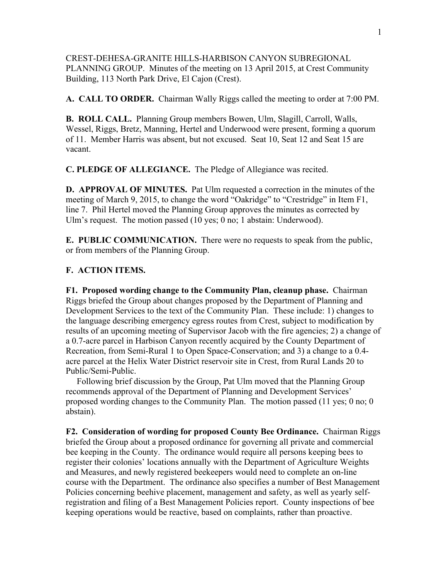CREST-DEHESA-GRANITE HILLS-HARBISON CANYON SUBREGIONAL PLANNING GROUP. Minutes of the meeting on 13 April 2015, at Crest Community Building, 113 North Park Drive, El Cajon (Crest).

**A. CALL TO ORDER.** Chairman Wally Riggs called the meeting to order at 7:00 PM.

**B. ROLL CALL.** Planning Group members Bowen, Ulm, Slagill, Carroll, Walls, Wessel, Riggs, Bretz, Manning, Hertel and Underwood were present, forming a quorum of 11. Member Harris was absent, but not excused. Seat 10, Seat 12 and Seat 15 are vacant.

**C. PLEDGE OF ALLEGIANCE.** The Pledge of Allegiance was recited.

**D. APPROVAL OF MINUTES.** Pat Ulm requested a correction in the minutes of the meeting of March 9, 2015, to change the word "Oakridge" to "Crestridge" in Item F1, line 7. Phil Hertel moved the Planning Group approves the minutes as corrected by Ulm's request. The motion passed (10 yes; 0 no; 1 abstain: Underwood).

**E. PUBLIC COMMUNICATION.** There were no requests to speak from the public, or from members of the Planning Group.

## **F. ACTION ITEMS.**

**F1. Proposed wording change to the Community Plan, cleanup phase.** Chairman Riggs briefed the Group about changes proposed by the Department of Planning and Development Services to the text of the Community Plan. These include: 1) changes to the language describing emergency egress routes from Crest, subject to modification by results of an upcoming meeting of Supervisor Jacob with the fire agencies; 2) a change of a 0.7-acre parcel in Harbison Canyon recently acquired by the County Department of Recreation, from Semi-Rural 1 to Open Space-Conservation; and 3) a change to a 0.4 acre parcel at the Helix Water District reservoir site in Crest, from Rural Lands 20 to Public/Semi-Public.

 Following brief discussion by the Group, Pat Ulm moved that the Planning Group recommends approval of the Department of Planning and Development Services' proposed wording changes to the Community Plan. The motion passed (11 yes; 0 no; 0 abstain).

**F2. Consideration of wording for proposed County Bee Ordinance.** Chairman Riggs briefed the Group about a proposed ordinance for governing all private and commercial bee keeping in the County. The ordinance would require all persons keeping bees to register their colonies' locations annually with the Department of Agriculture Weights and Measures, and newly registered beekeepers would need to complete an on-line course with the Department. The ordinance also specifies a number of Best Management Policies concerning beehive placement, management and safety, as well as yearly selfregistration and filing of a Best Management Policies report. County inspections of bee keeping operations would be reactive, based on complaints, rather than proactive.